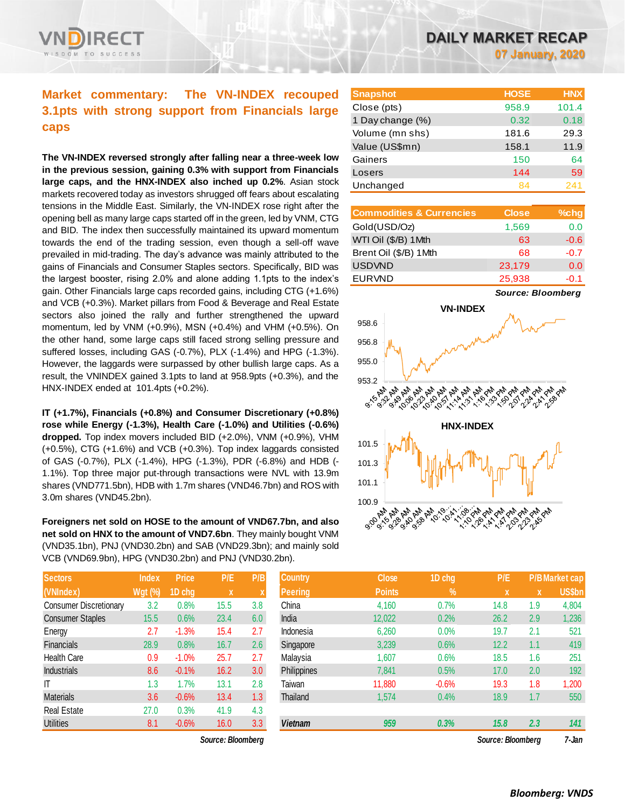

# **Market commentary: The VN-INDEX recouped 3.1pts with strong support from Financials large caps**

**The VN-INDEX reversed strongly after falling near a three-week low in the previous session, gaining 0.3% with support from Financials large caps, and the HNX-INDEX also inched up 0.2%**. Asian stock markets recovered today as investors shrugged off fears about escalating tensions in the Middle East. Similarly, the VN-INDEX rose right after the opening bell as many large caps started off in the green, led by VNM, CTG and BID. The index then successfully maintained its upward momentum towards the end of the trading session, even though a sell-off wave prevailed in mid-trading. The day's advance was mainly attributed to the gains of Financials and Consumer Staples sectors. Specifically, BID was the largest booster, rising 2.0% and alone adding 1.1pts to the index's gain. Other Financials large caps recorded gains, including CTG (+1.6%) and VCB (+0.3%). Market pillars from Food & Beverage and Real Estate sectors also joined the rally and further strengthened the upward momentum, led by VNM (+0.9%), MSN (+0.4%) and VHM (+0.5%). On the other hand, some large caps still faced strong selling pressure and suffered losses, including GAS (-0.7%), PLX (-1.4%) and HPG (-1.3%). However, the laggards were surpassed by other bullish large caps. As a result, the VNINDEX gained 3.1pts to land at 958.9pts (+0.3%), and the HNX-INDEX ended at 101.4pts (+0.2%).

**IT (+1.7%), Financials (+0.8%) and Consumer Discretionary (+0.8%) rose while Energy (-1.3%), Health Care (-1.0%) and Utilities (-0.6%) dropped.** Top index movers included BID (+2.0%), VNM (+0.9%), VHM (+0.5%), CTG (+1.6%) and VCB (+0.3%). Top index laggards consisted of GAS (-0.7%), PLX (-1.4%), HPG (-1.3%), PDR (-6.8%) and HDB (- 1.1%). Top three major put-through transactions were NVL with 13.9m shares (VND771.5bn), HDB with 1.7m shares (VND46.7bn) and ROS with 3.0m shares (VND45.2bn).

**Foreigners net sold on HOSE to the amount of VND67.7bn, and also net sold on HNX to the amount of VND7.6bn**. They mainly bought VNM (VND35.1bn), PNJ (VND30.2bn) and SAB (VND29.3bn); and mainly sold VCB (VND69.9bn), HPG (VND30.2bn) and PNJ (VND30.2bn).

| <b>Sectors</b>                | <b>Index</b>   | Price   | P/E  | P/B |
|-------------------------------|----------------|---------|------|-----|
| (VNIndex)                     | <b>Wgt (%)</b> | 1D chg  | X    | X   |
| <b>Consumer Discretionary</b> | 3.2            | 0.8%    | 15.5 | 3.8 |
| <b>Consumer Staples</b>       | 15.5           | 0.6%    | 23.4 | 6.0 |
| Energy                        | 2.7            | $-1.3%$ | 15.4 | 2.7 |
| Financials                    | 28.9           | 0.8%    | 16.7 | 2.6 |
| <b>Health Care</b>            | 0.9            | $-1.0%$ | 25.7 | 2.7 |
| <b>Industrials</b>            | 8.6            | $-0.1%$ | 16.2 | 3.0 |
| ΙT                            | 1.3            | 1.7%    | 13.1 | 2.8 |
| <b>Materials</b>              | 3.6            | $-0.6%$ | 13.4 | 1.3 |
| <b>Real Estate</b>            | 27.0           | 0.3%    | 41.9 | 4.3 |
| <b>Utilities</b>              | 8.1            | $-0.6%$ | 16.0 | 3.3 |

*Source: Bloomberg Source: Bloomberg 7-Jan*

**07 January, 2020**

| <b>Snapshot</b>  | <b>HOSE</b> | <b>HNX</b> |
|------------------|-------------|------------|
| Close (pts)      | 958.9       | 101.4      |
| 1 Day change (%) | 0.32        | 0.18       |
| Volume (mn shs)  | 181.6       | 29.3       |
| Value (US\$mn)   | 158.1       | 11.9       |
| Gainers          | 150         | 64         |
| Losers           | 144         | 59         |
| Unchanged        | 84          | 241        |

| <b>Commodities &amp; Currencies</b> | <b>Close</b> | $%$ chg |
|-------------------------------------|--------------|---------|
| Gold(USD/Oz)                        | 1,569        | 0.0     |
| WTI Oil (\$/B) 1 Mth                | 63           | $-0.6$  |
| Brent Oil (\$/B) 1Mth               | 68           | $-0.7$  |
| <b>USDVND</b>                       | 23,179       | 0.0     |
| <b>EURVND</b>                       | 25,938       | $-0.1$  |

*Source: Bloomberg*



| <b>Sectors</b>          | <b>Index</b>   | <b>Price</b> | P/E               | P/B              | <b>Country</b> | <b>Close</b>  | 1D chg        | P/E               |                           | <b>P/B Market cap</b> |
|-------------------------|----------------|--------------|-------------------|------------------|----------------|---------------|---------------|-------------------|---------------------------|-----------------------|
| (VNIndex)               | <b>Wgt (%)</b> | 1D chg       | $\mathbf{x}$      |                  | <b>Peering</b> | <b>Points</b> | $\frac{9}{6}$ | <b>X</b>          | $\boldsymbol{\mathsf{x}}$ | <b>US\$bn</b>         |
| Consumer Discretionary  | 3.2            | 0.8%         | 15.5              | 3.8              | China          | 4,160         | 0.7%          | 14.8              | 1.9                       | 4,804                 |
| <b>Consumer Staples</b> | 15.5           | 0.6%         | 23.4              | 6.0              | India          | 12,022        | 0.2%          | 26.2              | 2.9                       | 1,236                 |
| Energy                  | 2.7            | $-1.3%$      | 15.4              | 2.7              | Indonesia      | 6,260         | 0.0%          | 19.7              | 2.1                       | 521                   |
| <b>Financials</b>       | 28.9           | 0.8%         | 16.7              | 2.6              | Singapore      | 3,239         | 0.6%          | 12.2              | 1.1                       | 419                   |
| Health Care             | 0.9            | $-1.0%$      | 25.7              | 2.7              | Malaysia       | 1,607         | 0.6%          | 18.5              | 1.6                       | 251                   |
| <b>Industrials</b>      | 8.6            | $-0.1%$      | 16.2              | 3.0 <sub>2</sub> | Philippines    | 7,841         | 0.5%          | 17.0              | 2.0                       | 192                   |
| Τ                       | 1.3            | 1.7%         | 13.1              | 2.8              | Taiwan         | 11,880        | $-0.6%$       | 19.3              | 1.8                       | 1,200                 |
| Materials               | 3.6            | $-0.6%$      | 13.4              | 1.3 <sup>°</sup> | Thailand       | 1,574         | 0.4%          | 18.9              | 1.7                       | 550                   |
| Real Estate             | 27.0           | 0.3%         | 41.9              | 4.3              |                |               |               |                   |                           |                       |
| Utilities               | 8.1            | $-0.6%$      | 16.0              | 3.3              | <b>Vietnam</b> | 959           | 0.3%          | 15.8              | 2.3                       | 141                   |
|                         |                |              | Source: Bloomberg |                  |                |               |               | Source: Bloombera |                           | 7-Jan                 |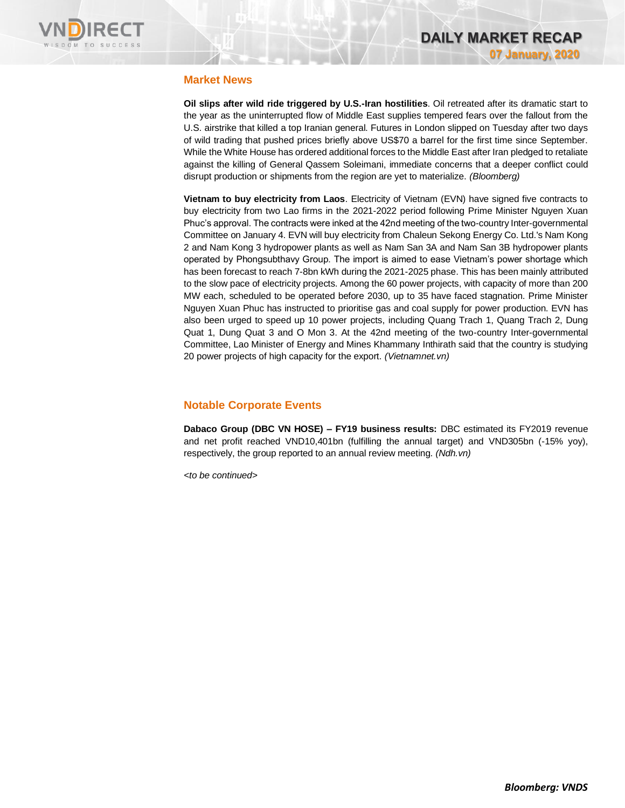

# **Market News**

**Oil slips after wild ride triggered by U.S.-Iran hostilities**. Oil retreated after its dramatic start to the year as the uninterrupted flow of Middle East supplies tempered fears over the fallout from the U.S. airstrike that killed a top Iranian general. Futures in London slipped on Tuesday after two days of wild trading that pushed prices briefly above US\$70 a barrel for the first time since September. While the White House has ordered additional forces to the Middle East after Iran pledged to retaliate against the killing of General Qassem Soleimani, immediate concerns that a deeper conflict could disrupt production or shipments from the region are yet to materialize. *(Bloomberg)*

**Vietnam to buy electricity from Laos**. Electricity of Vietnam (EVN) have signed five contracts to buy electricity from two Lao firms in the 2021-2022 period following Prime Minister Nguyen Xuan Phuc's approval. The contracts were inked at the 42nd meeting of the two-country Inter-governmental Committee on January 4. EVN will buy electricity from Chaleun Sekong Energy Co. Ltd.'s Nam Kong 2 and Nam Kong 3 hydropower plants as well as Nam San 3A and Nam San 3B hydropower plants operated by Phongsubthavy Group. The import is aimed to ease Vietnam's power shortage which has been forecast to reach 7-8bn kWh during the 2021-2025 phase. This has been mainly attributed to the slow pace of electricity projects. Among the 60 power projects, with capacity of more than 200 MW each, scheduled to be operated before 2030, up to 35 have faced stagnation. Prime Minister Nguyen Xuan Phuc has instructed to prioritise gas and coal supply for power production. EVN has also been urged to speed up 10 power projects, including Quang Trach 1, Quang Trach 2, Dung Quat 1, Dung Quat 3 and O Mon 3. At the 42nd meeting of the two-country Inter-governmental Committee, Lao Minister of Energy and Mines Khammany Inthirath said that the country is studying 20 power projects of high capacity for the export. *(Vietnamnet.vn)*

# **Notable Corporate Events**

**Dabaco Group (DBC VN HOSE) – FY19 business results:** DBC estimated its FY2019 revenue and net profit reached VND10,401bn (fulfilling the annual target) and VND305bn (-15% yoy), respectively, the group reported to an annual review meeting. *(Ndh.vn)*

*<to be continued>*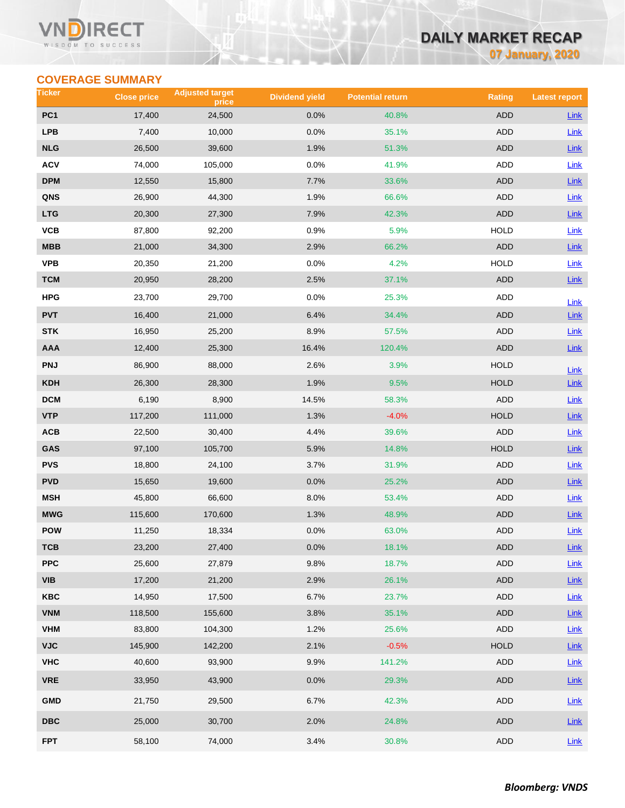### Vľ ECT WISDOM TO SUCCESS

# **DAILY MARKET RECAP**

**07 January, 2020**

# **COVERAGE SUMMARY**

| Ticker                  | <b>Close price</b> | <b>Adjusted target</b><br>price | <b>Dividend yield</b> | <b>Potential return</b> | <b>Rating</b> | <b>Latest report</b> |
|-------------------------|--------------------|---------------------------------|-----------------------|-------------------------|---------------|----------------------|
| PC <sub>1</sub>         | 17,400             | 24,500                          | 0.0%                  | 40.8%                   | <b>ADD</b>    | Link                 |
| <b>LPB</b>              | 7,400              | 10,000                          | 0.0%                  | 35.1%                   | ADD           | Link                 |
| <b>NLG</b>              | 26,500             | 39,600                          | 1.9%                  | 51.3%                   | <b>ADD</b>    | <b>Link</b>          |
| <b>ACV</b>              | 74,000             | 105,000                         | 0.0%                  | 41.9%                   | ADD           | Link                 |
| <b>DPM</b>              | 12,550             | 15,800                          | 7.7%                  | 33.6%                   | ADD           | <b>Link</b>          |
| QNS                     | 26,900             | 44,300                          | 1.9%                  | 66.6%                   | ADD           | Link                 |
| <b>LTG</b>              | 20,300             | 27,300                          | 7.9%                  | 42.3%                   | ADD           | Link                 |
| VCB                     | 87,800             | 92,200                          | 0.9%                  | 5.9%                    | <b>HOLD</b>   | Link                 |
| MBB                     | 21,000             | 34,300                          | 2.9%                  | 66.2%                   | <b>ADD</b>    | Link                 |
| <b>VPB</b>              | 20,350             | 21,200                          | 0.0%                  | 4.2%                    | <b>HOLD</b>   | Link                 |
| <b>TCM</b>              | 20,950             | 28,200                          | 2.5%                  | 37.1%                   | ADD           | Link                 |
| HPG                     | 23,700             | 29,700                          | 0.0%                  | 25.3%                   | ADD           | Link                 |
| <b>PVT</b>              | 16,400             | 21,000                          | 6.4%                  | 34.4%                   | <b>ADD</b>    | Link                 |
| <b>STK</b>              | 16,950             | 25,200                          | 8.9%                  | 57.5%                   | ADD           | <b>Link</b>          |
| <b>AAA</b>              | 12,400             | 25,300                          | 16.4%                 | 120.4%                  | <b>ADD</b>    | Link                 |
| <b>PNJ</b>              | 86,900             | 88,000                          | 2.6%                  | 3.9%                    | <b>HOLD</b>   | Link                 |
| <b>KDH</b>              | 26,300             | 28,300                          | 1.9%                  | 9.5%                    | <b>HOLD</b>   | Link                 |
| <b>DCM</b>              | 6,190              | 8,900                           | 14.5%                 | 58.3%                   | ADD           | <b>Link</b>          |
| <b>VTP</b>              | 117,200            | 111,000                         | 1.3%                  | $-4.0%$                 | <b>HOLD</b>   | Link                 |
| ACB                     | 22,500             | 30,400                          | 4.4%                  | 39.6%                   | ADD           | Link                 |
| GAS                     | 97,100             | 105,700                         | 5.9%                  | 14.8%                   | <b>HOLD</b>   | <b>Link</b>          |
| <b>PVS</b>              | 18,800             | 24,100                          | 3.7%                  | 31.9%                   | ADD           | Link                 |
| <b>PVD</b>              | 15,650             | 19,600                          | 0.0%                  | 25.2%                   | ADD           | <b>Link</b>          |
| <b>MSH</b>              | 45,800             | 66,600                          | 8.0%                  | 53.4%                   | <b>ADD</b>    | <b>Link</b>          |
| <b>MWG</b>              | 115,600            | 170,600                         | 1.3%                  | 48.9%                   | <b>ADD</b>    | Link                 |
| <b>POW</b>              | 11,250             | 18,334                          | 0.0%                  | 63.0%                   | ADD           | <b>Link</b>          |
| тсв                     | 23,200             | 27,400                          | 0.0%                  | 18.1%                   | ADD           | Link                 |
| <b>PPC</b>              | 25,600             | 27,879                          | 9.8%                  | 18.7%                   | <b>ADD</b>    | Link                 |
| <b>VIB</b>              | 17,200             | 21,200                          | 2.9%                  | 26.1%                   | ADD           | $Link$               |
| KBC                     | 14,950             | 17,500                          | 6.7%                  | 23.7%                   | ADD           | Link                 |
| <b>VNM</b>              | 118,500            | 155,600                         | 3.8%                  | 35.1%                   | <b>ADD</b>    | $Link$               |
| <b>VHM</b>              | 83,800             | 104,300                         | 1.2%                  | 25.6%                   | ADD           | Link                 |
| <b>VJC</b>              | 145,900            | 142,200                         | 2.1%                  | $-0.5%$                 | HOLD          | Link                 |
| <b>VHC</b>              | 40,600             | 93,900                          | 9.9%                  | 141.2%                  | ADD           | Link                 |
| <b>VRE</b>              | 33,950             | 43,900                          | 0.0%                  | 29.3%                   | <b>ADD</b>    | Link                 |
| <b>GMD</b>              | 21,750             | 29,500                          | 6.7%                  | 42.3%                   | ADD           | Link                 |
| $\overline{\text{DBC}}$ | 25,000             | 30,700                          | 2.0%                  | 24.8%                   | ADD           | <b>Link</b>          |
| <b>FPT</b>              | 58,100             | 74,000                          | 3.4%                  | 30.8%                   | ADD           | Link                 |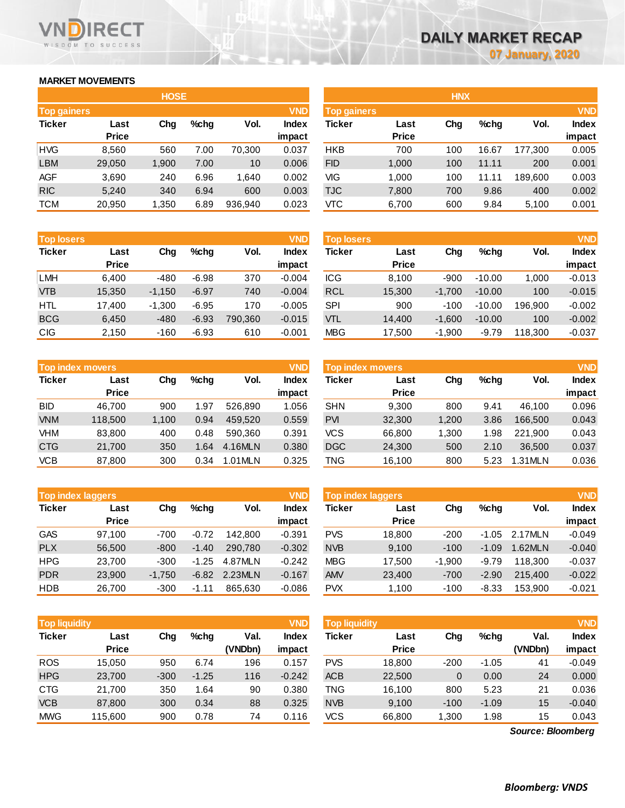### **MARKET MOVEMENTS**

WISDOM TO SUCCESS

RECT

Vľ

|                    |              | <b>HOSE</b> |         |         |            | <b>HNX</b>         |              |     |         |         |            |
|--------------------|--------------|-------------|---------|---------|------------|--------------------|--------------|-----|---------|---------|------------|
| <b>Top gainers</b> |              |             |         |         | <b>VND</b> | <b>Top gainers</b> |              |     |         |         | <b>VND</b> |
| <b>Ticker</b>      | Last         | Chg         | $%$ chg | Vol.    | Index      | <b>Ticker</b>      | Last         | Chg | $%$ chg | Vol.    | Index      |
|                    | <b>Price</b> |             |         |         | impact     |                    | <b>Price</b> |     |         |         | impact     |
| <b>HVG</b>         | 8,560        | 560         | 7.00    | 70.300  | 0.037      | <b>HKB</b>         | 700          | 100 | 16.67   | 177.300 | 0.005      |
| <b>LBM</b>         | 29,050       | 1,900       | 7.00    | 10      | 0.006      | <b>FID</b>         | 1,000        | 100 | 11.11   | 200     | 0.001      |
| <b>AGF</b>         | 3,690        | 240         | 6.96    | 1.640   | 0.002      | VIG                | 1.000        | 100 | 11.11   | 189.600 | 0.003      |
| <b>RIC</b>         | 5,240        | 340         | 6.94    | 600     | 0.003      | <b>TJC</b>         | 7,800        | 700 | 9.86    | 400     | 0.002      |
| <b>TCM</b>         | 20,950       | 1,350       | 6.89    | 936,940 | 0.023      | VТC                | 6,700        | 600 | 9.84    | 5,100   | 0.001      |

| <b>Top losers</b> |              |          |         |         | <b>VND</b>   |
|-------------------|--------------|----------|---------|---------|--------------|
| <b>Ticker</b>     | Last         | Cha      | %chq    | Vol.    | <b>Index</b> |
|                   | <b>Price</b> |          |         |         | impact       |
| <b>LMH</b>        | 6,400        | -480     | $-6.98$ | 370     | $-0.004$     |
| <b>VTB</b>        | 15,350       | $-1,150$ | $-6.97$ | 740     | $-0.004$     |
| <b>HTL</b>        | 17,400       | $-1,300$ | $-6.95$ | 170     | $-0.005$     |
| <b>BCG</b>        | 6,450        | $-480$   | $-6.93$ | 790,360 | $-0.015$     |
| <b>CIG</b>        | 2,150        | $-160$   | $-6.93$ | 610     | $-0.001$     |

|               | <b>Top index movers</b> |       |      |         | <b>VND</b>   |
|---------------|-------------------------|-------|------|---------|--------------|
| <b>Ticker</b> | Last                    | Cha   | %chq | Vol.    | <b>Index</b> |
|               | <b>Price</b>            |       |      |         | impact       |
| <b>BID</b>    | 46,700                  | 900   | 1.97 | 526,890 | 1.056        |
| <b>VNM</b>    | 118,500                 | 1,100 | 0.94 | 459,520 | 0.559        |
| <b>VHM</b>    | 83,800                  | 400   | 0.48 | 590.360 | 0.391        |
| <b>CTG</b>    | 21,700                  | 350   | 1.64 | 4.16MLN | 0.380        |
| <b>VCB</b>    | 87,800                  | 300   | 0.34 | 1.01MLN | 0.325        |

| <b>Top index laggers</b> |              |          |         |         | <b>VND</b>   |
|--------------------------|--------------|----------|---------|---------|--------------|
| <b>Ticker</b>            | Last         | Cha      | %chq    | Vol.    | <b>Index</b> |
|                          | <b>Price</b> |          |         |         | impact       |
| <b>GAS</b>               | 97,100       | $-700$   | $-0.72$ | 142.800 | $-0.391$     |
| <b>PLX</b>               | 56,500       | $-800$   | $-1.40$ | 290.780 | $-0.302$     |
| <b>HPG</b>               | 23,700       | $-300$   | $-1.25$ | 4.87MLN | $-0.242$     |
| <b>PDR</b>               | 23,900       | $-1,750$ | $-6.82$ | 2.23MLN | $-0.167$     |
| <b>HDB</b>               | 26,700       | $-300$   | $-1.11$ | 865.630 | $-0.086$     |

| <b>Top liquidity</b> |                      |        |         |                 | <b>VND</b>      | <b>Top liquidity</b> |                      |        |         |                   | <b>VND</b>             |
|----------------------|----------------------|--------|---------|-----------------|-----------------|----------------------|----------------------|--------|---------|-------------------|------------------------|
| <b>Ticker</b>        | Last<br><b>Price</b> | Chg    | $%$ chg | Val.<br>(VNDbn) | Index<br>impact | <b>Ticker</b>        | Last<br><b>Price</b> | Chg    | $%$ chg | Val.<br>(VNDbn)   | <b>Index</b><br>impact |
| <b>ROS</b>           | 15.050               | 950    | 6.74    | 196             | 0.157           | <b>PVS</b>           | 18,800               | $-200$ | $-1.05$ | 41                | $-0.049$               |
| <b>HPG</b>           | 23,700               | $-300$ | $-1.25$ | 116             | $-0.242$        | <b>ACB</b>           | 22,500               | 0      | 0.00    | 24                | 0.000                  |
| <b>CTG</b>           | 21.700               | 350    | 1.64    | 90              | 0.380           | TNG                  | 16,100               | 800    | 5.23    | 21                | 0.036                  |
| <b>VCB</b>           | 87,800               | 300    | 0.34    | 88              | 0.325           | <b>NVB</b>           | 9,100                | $-100$ | $-1.09$ | 15                | $-0.040$               |
| <b>MWG</b>           | 115,600              | 900    | 0.78    | 74              | 0.116           | vcs                  | 66,800               | 1,300  | 1.98    | 15                | 0.043                  |
|                      |                      |        |         |                 |                 |                      |                      |        |         | Source: Bloomberg |                        |

*Source: Bloomberg*

| <b>HOSE</b> |              |       |         |         |              |                    |              | <b>HNX</b> |         |         |              |
|-------------|--------------|-------|---------|---------|--------------|--------------------|--------------|------------|---------|---------|--------------|
| Top gainers |              |       |         |         | <b>VND</b>   | <b>Top gainers</b> |              |            |         |         | <b>VND</b>   |
| Ticker      | Last         | Chg   | $%$ chq | Vol.    | <b>Index</b> | Ticker             | Last         | Chg        | $%$ chg | Vol.    | <b>Index</b> |
|             | <b>Price</b> |       |         |         | impact       |                    | <b>Price</b> |            |         |         | impact       |
| HVG         | 8,560        | 560   | 7.00    | 70,300  | 0.037        | <b>HKB</b>         | 700          | 100        | 16.67   | 177,300 | 0.005        |
| <b>LBM</b>  | 29,050       | 1,900 | 7.00    | 10      | 0.006        | <b>FID</b>         | 1,000        | 100        | 11.11   | 200     | 0.001        |
| AGF         | 3,690        | 240   | 6.96    | 1,640   | 0.002        | VIG                | 1,000        | 100        | 11.11   | 189.600 | 0.003        |
| <b>RIC</b>  | 5,240        | 340   | 6.94    | 600     | 0.003        | TJC                | 7,800        | 700        | 9.86    | 400     | 0.002        |
| тсм         | 20,950       | 1,350 | 6.89    | 936,940 | 0.023        | <b>VTC</b>         | 6,700        | 600        | 9.84    | 5,100   | 0.001        |
|             |              |       |         |         |              |                    |              |            |         |         |              |

| <b>Top losers</b> |              |          |         |         | <b>VND</b>   | <b>Top losers</b> |              |          |          |         | <b>VND</b>   |
|-------------------|--------------|----------|---------|---------|--------------|-------------------|--------------|----------|----------|---------|--------------|
| Ticker            | Last         | Chg      | $%$ chg | Vol.    | <b>Index</b> | Ticker            | Last         | Chg      | $%$ chg  | Vol.    | <b>Index</b> |
|                   | <b>Price</b> |          |         |         | impact       |                   | <b>Price</b> |          |          |         | impact       |
| LMH               | 6.400        | $-480$   | $-6.98$ | 370     | $-0.004$     | <b>ICG</b>        | 8.100        | $-900$   | $-10.00$ | 1.000   | $-0.013$     |
| <b>VTB</b>        | 15,350       | $-1.150$ | $-6.97$ | 740     | $-0.004$     | <b>RCL</b>        | 15,300       | $-1.700$ | $-10.00$ | 100     | $-0.015$     |
| HTL               | 17.400       | $-1.300$ | $-6.95$ | 170     | $-0.005$     | <b>SPI</b>        | 900          | $-100$   | $-10.00$ | 196.900 | $-0.002$     |
| <b>BCG</b>        | 6.450        | $-480$   | $-6.93$ | 790.360 | $-0.015$     | <b>VTL</b>        | 14.400       | $-1.600$ | $-10.00$ | 100     | $-0.002$     |
| CIG               | 2,150        | $-160$   | $-6.93$ | 610     | $-0.001$     | <b>MBG</b>        | 17,500       | $-1,900$ | $-9.79$  | 118,300 | $-0.037$     |

| <b>VND</b>           |
|----------------------|
|                      |
| Vol.<br><b>Index</b> |
| impact               |
| 0.096<br>46.100      |
| 0.043<br>166.500     |
| 0.043<br>221.900     |
| 0.037<br>36,500      |
| 0.036<br>.31MLN      |
|                      |

| <b>Top index laggers</b> |                      |          |         |         | <b>VND</b><br>Top index laggers |            |                      |          |         |         |                        |  |  |
|--------------------------|----------------------|----------|---------|---------|---------------------------------|------------|----------------------|----------|---------|---------|------------------------|--|--|
| Ticker                   | Last<br><b>Price</b> | Cha      | $%$ chq | Vol.    | Index<br>impact                 | Ticker     | Last<br><b>Price</b> | Chg      | $%$ chg | Vol.    | <b>Index</b><br>impact |  |  |
| GAS                      | 97.100               | $-700$   | $-0.72$ | 142,800 | $-0.391$                        | <b>PVS</b> | 18,800               | $-200$   | $-1.05$ | 2.17MLN | $-0.049$               |  |  |
| <b>PLX</b>               | 56,500               | $-800$   | $-1.40$ | 290,780 | $-0.302$                        | <b>NVB</b> | 9.100                | $-100$   | $-1.09$ | 1.62MLN | $-0.040$               |  |  |
| HPG                      | 23.700               | $-300$   | $-1.25$ | 4.87MLN | $-0.242$                        | <b>MBG</b> | 17.500               | $-1.900$ | $-9.79$ | 118.300 | $-0.037$               |  |  |
| PDR                      | 23,900               | $-1.750$ | $-6.82$ | 2.23MLN | $-0.167$                        | <b>AMV</b> | 23,400               | $-700$   | $-2.90$ | 215,400 | $-0.022$               |  |  |
| <b>HDB</b>               | 26,700               | $-300$   | $-1.11$ | 865.630 | $-0.086$                        | <b>PVX</b> | 1,100                | $-100$   | $-8.33$ | 153.900 | $-0.021$               |  |  |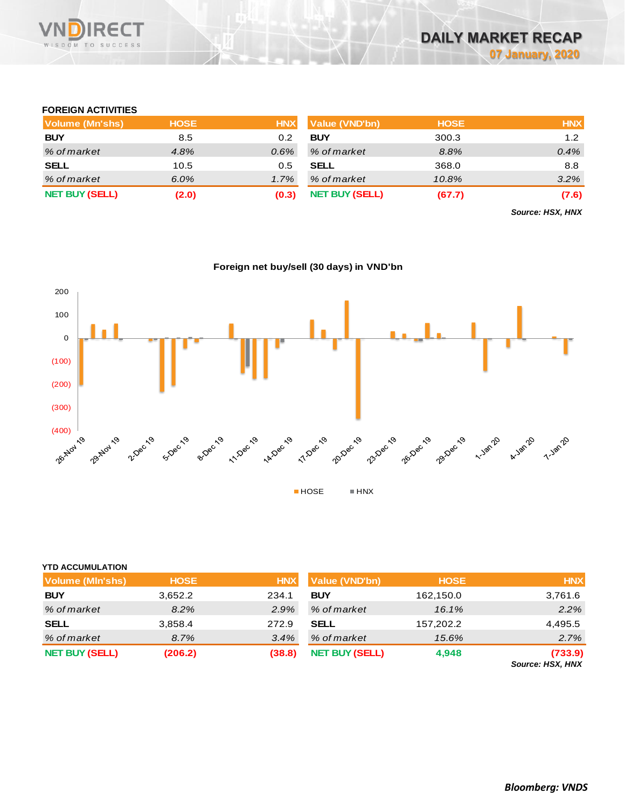

## **FOREIGN ACTIVITIES**

| <b>Volume (Mn'shs)</b> | <b>HOSE</b> | <b>HNX</b> | <b>Value (VND'bn)</b> | <b>HOSE</b> | <b>HNX</b> |
|------------------------|-------------|------------|-----------------------|-------------|------------|
| <b>BUY</b>             | 8.5         | 0.2        | <b>BUY</b>            | 300.3       | 1.2        |
| % of market            | 4.8%        | $0.6\%$    | % of market           | 8.8%        | 0.4%       |
| <b>SELL</b>            | 10.5        | 0.5        | <b>SELL</b>           | 368.0       | 8.8        |
| % of market            | 6.0%        | 1.7%       | % of market           | 10.8%       | 3.2%       |
| <b>NET BUY (SELL)</b>  | (2.0)       | (0.3)      | <b>NET BUY (SELL)</b> | (67.7)      | (7.6)      |

*Source: HSX, HNX*

**Foreign net buy/sell (30 days) in VND'bn**



| <b>YTD ACCUMULATION</b> |             |         |
|-------------------------|-------------|---------|
| Volume (MIn'shs)        | <b>HOSE</b> | HNI     |
| BUY                     | 3.652.2     | 234.1   |
| ---                     | - - - -     | - - - - |

| <b>Volume (MIn'shs)</b> | <b>HOSE</b> | <b>HNX</b> | <b>Value (VND'bn)</b> | <b>HOSE</b> | <b>HNX</b>                  |
|-------------------------|-------------|------------|-----------------------|-------------|-----------------------------|
| <b>BUY</b>              | 3,652.2     | 234.1      | <b>BUY</b>            | 162,150.0   | 3,761.6                     |
| % of market             | 8.2%        | 2.9%       | % of market           | 16.1%       | 2.2%                        |
| SELL                    | 3,858.4     | 272.9      | <b>SELL</b>           | 157,202.2   | 4,495.5                     |
| % of market             | 8.7%        | 3.4%       | % of market           | 15.6%       | 2.7%                        |
| <b>NET BUY (SELL)</b>   | (206.2)     | (38.8)     | <b>NET BUY (SELL)</b> | 4,948       | (733.9)<br>Source: HSX, HNX |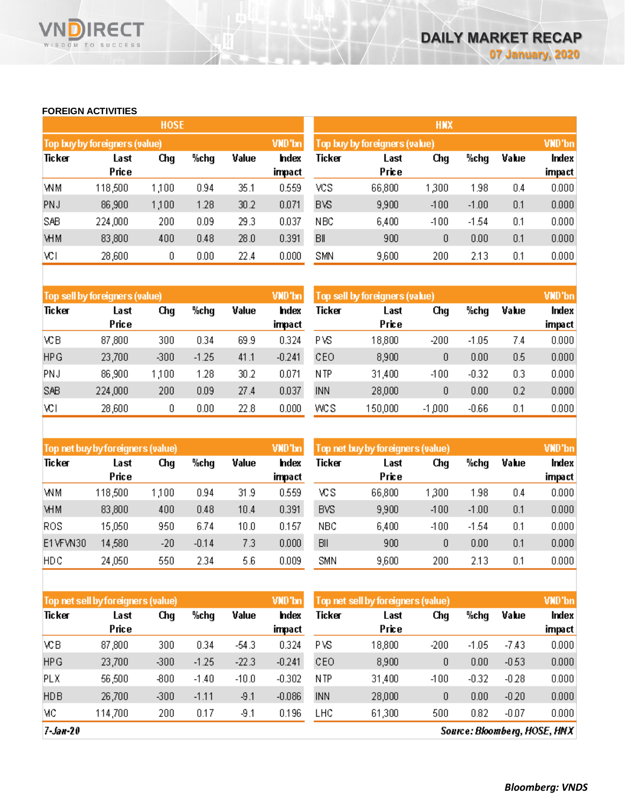# **FOREIGN ACTIVITIES**

WISDOM TO SUCCESS

**RECT** 

VI

|            |                               | <b>HOSE</b> |      |       |                 |                 |                               | <b>HNX</b> |         |       |                        |
|------------|-------------------------------|-------------|------|-------|-----------------|-----------------|-------------------------------|------------|---------|-------|------------------------|
|            | Top buy by foreigners (value) |             |      |       | VND'bn          |                 | Top buy by foreigners (value) |            |         |       | VND'bn                 |
| Ticker     | Last<br>Price                 | Chg         | %chg | Value | Index<br>impact | Ticker          | Last<br>Price                 | Chg        | %chg    | Value | Index<br><b>impact</b> |
| WM         | 118,500                       | 1,100       | 0.94 | 35.1  | 0.559           | vcs             | 66,800                        | 1,300      | 1.98    | 0.4   | 0.000                  |
| <b>PNJ</b> | 86,900                        | 1,100       | 1.28 | 30.2  | 0.071           | <b>BVS</b>      | 9,900                         | $-100$     | $-1.00$ | 0.1   | 0.000                  |
| SAB        | 224,000                       | 200         | 0.09 | 29.3  | 0.037           | N <sub>BC</sub> | 6,400                         | $-100$     | $-1.54$ | 0.1   | 0.000                  |
| <b>VHM</b> | 83,800                        | 400         | 0.48 | 28.0  | 0.391           | BII             | 900                           | 0          | 0.00    | 0.1   | 0.000                  |
| VСI        | 28,600                        | 0           | 0.00 | 22.4  | 0.000           | <b>SMN</b>      | 9,600                         | 200        | 2.13    | 0.1   | 0.000                  |

|            | Top sell by foreigners (value) |        |         |       | VND'bn         | Top sell by foreigners (value) |               |          |         |       | VND'bn          |
|------------|--------------------------------|--------|---------|-------|----------------|--------------------------------|---------------|----------|---------|-------|-----------------|
| Ticker     | Last<br>Price                  | Chg    | %chg    | Value | hdex<br>impact | Ticker                         | Last<br>Price | Chg      | %chg    | Value | Index<br>impact |
| VСB        | 87,800                         | 300    | 0.34    | 69.9  | 0.324          | РVS                            | 18,800        | $-200$   | $-1.05$ | 7.4   | 0.000           |
| <b>HPG</b> | 23,700                         | $-300$ | $-1.25$ | 41.1  | $-0.241$       | CEO                            | 8,900         | 0        | 0.00    | 0.5   | 0.000           |
| PNJ        | 86,900                         | 1,100  | 1.28    | 30.2  | 0.071          | N TP                           | 31,400        | $-100$   | $-0.32$ | 0.3   | 0.000           |
| SAB        | 224,000                        | 200    | 0.09    | 27.4  | 0.037          | <b>INN</b>                     | 28,000        | 0        | 0.00    | 0.2   | 0.000           |
| VСI        | 28,600                         | 0      | 0.00    | 22.8  | 0.000          | WCS                            | 150,000       | $-1,000$ | $-0.66$ | 0.1   | 0.000           |

|            | Top net buy by foreigners (value) |       |         |       | VND'bn                 | Top net buy by foreigners (value). |               |        |         |       | VND'bn          |
|------------|-----------------------------------|-------|---------|-------|------------------------|------------------------------------|---------------|--------|---------|-------|-----------------|
| Ticker     | Last<br>Price                     | Chg   | %chg    | Value | <b>Index</b><br>impact | Ticker                             | Last<br>Price | Chg    | %chq    | Value | Index<br>impact |
| <b>WM</b>  | 118,500                           | 1,100 | 0.94    | 31.9  | 0.559                  | ٧CS                                | 66,800        | 300    | 1.98    | 0.4   | 0.000           |
| <b>VHM</b> | 83,800                            | 400   | 0.48    | 10.4  | 0.391                  | <b>BVS</b>                         | 9,900         | $-100$ | $-1.00$ | 0.1   | 0.000           |
| ROS        | 15,050                            | 950   | 6.74    | 10.0  | 0.157                  | <b>NBC</b>                         | 6,400         | $-100$ | $-1.54$ | 0.1   | 0.000           |
| E1VFVN30   | 14,580                            | $-20$ | $-0.14$ | 7.3   | 0.000                  | BII                                | 900           | 0      | 0.00    | 0.1   | 0.000           |
| <b>HDC</b> | 24,050                            | 550   | 2.34    | 5.6   | 0.009                  | <b>SMN</b>                         | 9,600         | 200    | 2.13    | 0.1   | 0.000           |

|            | Top net sell by foreigners (value) |        |         |         | VND'bn         | Top net sell by foreigners (value) |               |        |         |         | VND'bn          |
|------------|------------------------------------|--------|---------|---------|----------------|------------------------------------|---------------|--------|---------|---------|-----------------|
| Ticker     | Last<br>Price                      | Chg    | %chg    | Value   | hdex<br>impact | Ticker                             | Last<br>Price | Chq    | %chg    | Value   | Index<br>impact |
|            |                                    |        |         |         |                |                                    |               |        |         |         |                 |
| VСB        | 87,800                             | 300    | 0.34    | -54.3   | 0.324          | PVS.                               | 18,800        | -200   | $-1.05$ | $-7.43$ | 0.000           |
| <b>HPG</b> | 23,700                             | $-300$ | $-1.25$ | $-22.3$ | $-0.241$       | CEO                                | 8,900         | 0      | 0.00    | $-0.53$ | 0.000           |
| <b>PLX</b> | 56,500                             | $-800$ | $-1.40$ | $-10.0$ | $-0.302$       | N TP                               | 31,400        | $-100$ | $-0.32$ | $-0.28$ | 0.000           |
| <b>HDB</b> | 26,700                             | $-300$ | $-1.11$ | $-9.1$  | $-0.086$       | <b>INN</b>                         | 28,000        | 0      | 0.00    | $-0.20$ | 0.000           |
| МC         | 114,700                            | 200    | 0.17    | -9.1    | 0.196          | LHC                                | 61,300        | 500    | 0.82    | $-0.07$ | 0.000           |

 $7 - Jan - 20$ 

Source: Bloomberg, HOSE, HNX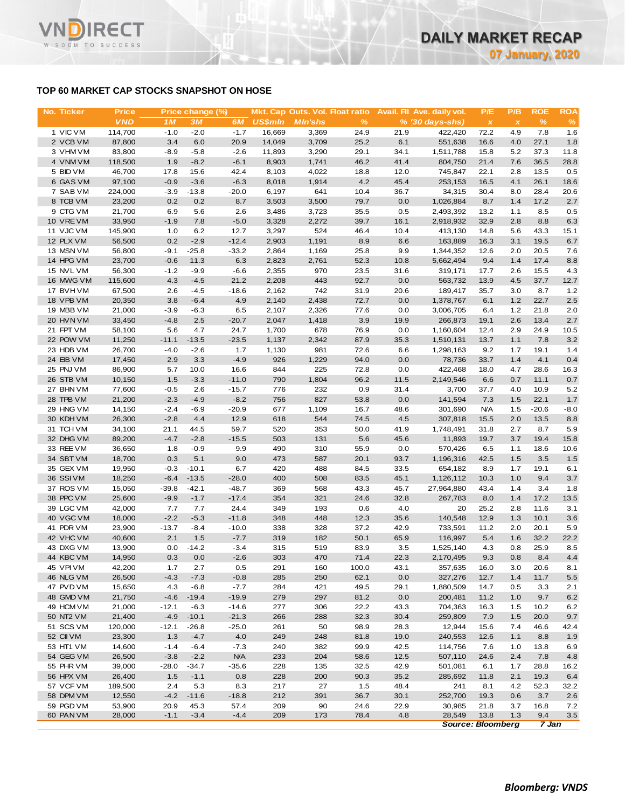# **TOP 60 MARKET CAP STOCKS SNAPSHOT ON HOSE**

| No. Ticker             | <b>Price</b>     |                   | Price change (%) |                   |                | Mkt. Cap Outs. Vol. Float ratio |              |              | Avail. Fil Ave. daily vol. | P/E          | P/B            | <b>ROE</b>    | <b>ROA</b>  |
|------------------------|------------------|-------------------|------------------|-------------------|----------------|---------------------------------|--------------|--------------|----------------------------|--------------|----------------|---------------|-------------|
|                        | <b>VND</b>       | 1M                | 3M               | 6M                | <b>US\$mln</b> | <b>MIn'shs</b>                  | %            |              | $% (30 days-shs)$          | $\pmb{\chi}$ | $\pmb{\times}$ | $\frac{9}{6}$ | %           |
| 1 VIC VM               | 114,700          | $-1.0$            | $-2.0$           | $-1.7$            | 16,669         | 3,369                           | 24.9         | 21.9         | 422,420                    | 72.2         | 4.9            | 7.8           | 1.6         |
| 2 VCB VM               | 87,800           | 3.4               | 6.0              | 20.9              | 14,049         | 3,709                           | 25.2         | 6.1          | 551,638                    | 16.6         | 4.0            | 27.1          | 1.8         |
| 3 VHM VM               | 83,800           | $-8.9$            | $-5.8$           | $-2.6$            | 11,893         | 3,290                           | 29.1         | 34.1         | 1,511,788                  | 15.8         | 5.2            | 37.3          | 11.8        |
| 4 VNM VM               | 118,500          | 1.9               | $-8.2$           | $-6.1$            | 8,903          | 1,741                           | 46.2         | 41.4         | 804,750                    | 21.4         | 7.6            | 36.5          | 28.8        |
| 5 BID VM<br>6 GAS VM   | 46,700<br>97,100 | 17.8<br>$-0.9$    | 15.6<br>$-3.6$   | 42.4<br>$-6.3$    | 8,103<br>8,018 | 4,022<br>1,914                  | 18.8<br>4.2  | 12.0<br>45.4 | 745,847<br>253,153         | 22.1<br>16.5 | 2.8<br>4.1     | 13.5<br>26.1  | 0.5<br>18.6 |
| 7 SAB VM               | 224,000          | $-3.9$            | $-13.8$          | $-20.0$           | 6,197          | 641                             | 10.4         | 36.7         | 34,315                     | 30.4         | 8.0            | 28.4          | 20.6        |
| 8 TCB VM               | 23,200           | 0.2               | 0.2              | 8.7               | 3,503          | 3,500                           | 79.7         | 0.0          | 1,026,884                  | 8.7          | 1.4            | 17.2          | 2.7         |
| 9 CTG VM               | 21,700           | 6.9               | 5.6              | 2.6               | 3,486          | 3,723                           | 35.5         | 0.5          | 2,493,392                  | 13.2         | 1.1            | 8.5           | 0.5         |
| 10 VRE VM              | 33,950           | $-1.9$            | 7.8              | $-5.0$            | 3,328          | 2,272                           | 39.7         | 16.1         | 2,918,932                  | 32.9         | 2.8            | 8.8           | 6.3         |
| 11 VJC VM              | 145,900          | 1.0               | 6.2              | 12.7              | 3,297          | 524                             | 46.4         | 10.4         | 413,130                    | 14.8         | 5.6            | 43.3          | 15.1        |
| 12 PLX VM              | 56,500           | 0.2               | $-2.9$           | $-12.4$           | 2,903          | 1,191                           | 8.9          | 6.6          | 163,889                    | 16.3         | 3.1            | 19.5          | 6.7         |
| 13 MSN VM              | 56,800           | $-9.1$            | $-25.8$          | $-33.2$           | 2,864          | 1,169                           | 25.8         | 9.9          | 1,344,352                  | 12.6         | 2.0            | 20.5          | 7.6         |
| 14 HPG VM              | 23,700           | $-0.6$            | 11.3             | 6.3               | 2,823          | 2,761                           | 52.3         | 10.8         | 5,662,494                  | 9.4          | 1.4            | 17.4          | 8.8         |
| 15 NVL VM              | 56,300           | $-1.2$            | $-9.9$           | $-6.6$            | 2,355          | 970                             | 23.5         | 31.6         | 319,171                    | 17.7         | 2.6            | 15.5          | 4.3         |
| 16 MWG VM              | 115,600          | 4.3               | $-4.5$           | 21.2              | 2,208          | 443                             | 92.7         | 0.0          | 563,732                    | 13.9         | 4.5            | 37.7          | 12.7        |
| 17 BVHVM               | 67,500           | 2.6               | $-4.5$           | $-18.6$           | 2,162          | 742                             | 31.9         | 20.6         | 189,417                    | 35.7         | 3.0            | 8.7           | 1.2         |
| 18 VPB VM              | 20,350           | 3.8               | $-6.4$           | 4.9               | 2,140          | 2,438                           | 72.7         | 0.0          | 1,378,767                  | 6.1          | 1.2            | 22.7          | 2.5         |
| 19 MBB VM              | 21,000           | $-3.9$            | -6.3             | 6.5               | 2,107          | 2,326                           | 77.6         | 0.0          | 3,006,705                  | 6.4          | $1.2$          | 21.8          | 2.0         |
| 20 HVN VM              | 33,450           | $-4.8$            | 2.5              | $-20.7$           | 2,047          | 1,418                           | 3.9          | 19.9         | 266,873                    | 19.1         | 2.6            | 13.4          | 2.7         |
| 21 FPT VM              | 58,100           | 5.6               | 4.7              | 24.7              | 1,700          | 678                             | 76.9         | 0.0          | 1,160,604                  | 12.4         | 2.9            | 24.9          | 10.5        |
| 22 POW VM              | 11,250           | $-11.1$           | $-13.5$          | $-23.5$           | 1,137          | 2,342                           | 87.9         | 35.3         | 1,510,131                  | 13.7         | 1.1            | 7.8           | 3.2         |
| 23 HDB VM<br>24 EIB VM | 26,700<br>17,450 | $-4.0$<br>2.9     | $-2.6$<br>3.3    | 1.7<br>$-4.9$     | 1,130<br>926   | 981<br>1,229                    | 72.6<br>94.0 | 6.6<br>0.0   | 1,298,163<br>78,736        | 9.2<br>33.7  | 1.7<br>1.4     | 19.1<br>4.1   | 1.4<br>0.4  |
| 25 PNJ VM              | 86,900           | 5.7               | 10.0             | 16.6              | 844            | 225                             | 72.8         | 0.0          | 422,468                    | 18.0         | 4.7            | 28.6          | 16.3        |
| 26 STB VM              | 10,150           | 1.5               | $-3.3$           | $-11.0$           | 790            | 1,804                           | 96.2         | 11.5         | 2,149,546                  | 6.6          | 0.7            | 11.1          | 0.7         |
| 27 BHN VM              | 77,600           | $-0.5$            | 2.6              | $-15.7$           | 776            | 232                             | 0.9          | 31.4         | 3,700                      | 37.7         | 4.0            | 10.9          | 5.2         |
| 28 TPB VM              | 21,200           | $-2.3$            | $-4.9$           | $-8.2$            | 756            | 827                             | 53.8         | 0.0          | 141,594                    | 7.3          | 1.5            | 22.1          | 1.7         |
| 29 HNG VM              | 14,150           | $-2.4$            | $-6.9$           | $-20.9$           | 677            | 1,109                           | 16.7         | 48.6         | 301,690                    | <b>N/A</b>   | 1.5            | $-20.6$       | $-8.0$      |
| 30 KDH VM              | 26,300           | $-2.8$            | 4.4              | 12.9              | 618            | 544                             | 74.5         | 4.5          | 307,818                    | 15.5         | 2.0            | 13.5          | 8.8         |
| 31 TCH VM              | 34,100           | 21.1              | 44.5             | 59.7              | 520            | 353                             | 50.0         | 41.9         | 1,748,491                  | 31.8         | 2.7            | 8.7           | 5.9         |
| 32 DHG VM              | 89,200           | $-4.7$            | $-2.8$           | $-15.5$           | 503            | 131                             | 5.6          | 45.6         | 11,893                     | 19.7         | 3.7            | 19.4          | 15.8        |
| 33 REE VM              | 36,650           | 1.8               | $-0.9$           | 9.9               | 490            | 310                             | 55.9         | 0.0          | 570,426                    | 6.5          | 1.1            | 18.6          | 10.6        |
| 34 SBT VM              | 18,700           | 0.3               | 5.1              | 9.0               | 473            | 587                             | 20.1         | 93.7         | 1,196,316                  | 42.5         | 1.5            | 3.5           | 1.5         |
| 35 GEX VM              | 19,950           | $-0.3$            | $-10.1$          | 6.7               | 420            | 488                             | 84.5         | 33.5         | 654,182                    | 8.9          | 1.7            | 19.1          | 6.1         |
| 36 SSI VM              | 18,250           | $-6.4$            | $-13.5$          | $-28.0$           | 400            | 508                             | 83.5         | 45.1         | 1,126,112                  | 10.3         | 1.0            | 9.4           | 3.7         |
| 37 ROS VM              | 15,050           | $-39.8$           | $-42.1$          | $-48.7$           | 369            | 568                             | 43.3         | 45.7         | 27,964,880                 | 43.4         | 1.4            | 3.4           | 1.8         |
| 38 PPC VM              | 25,600           | $-9.9$            | $-1.7$           | $-17.4$           | 354            | 321                             | 24.6         | 32.8         | 267,783                    | 8.0          | 1.4            | 17.2          | 13.5        |
| 39 LGC VM              | 42,000           | 7.7               | 7.7              | 24.4              | 349            | 193                             | 0.6          | 4.0          | 20                         | 25.2         | 2.8            | 11.6          | 3.1         |
| 40 VGC VM<br>41 PDR VM | 18,000<br>23,900 | $-2.2$<br>$-13.7$ | $-5.3$           | $-11.8$           | 348<br>338     | 448<br>328                      | 12.3<br>37.2 | 35.6<br>42.9 | 140,548<br>733,591         | 12.9<br>11.2 | 1.3<br>2.0     | 10.1<br>20.1  | 3.6<br>5.9  |
| 42 VHC VM              | 40,600           | 2.1               | -8.4<br>1.5      | $-10.0$<br>$-7.7$ | 319            | 182                             | 50.1         | 65.9         | 116,997                    | 5.4          | 1.6            | 32.2          | 22.2        |
| 43 DXG VM              | 13,900           | 0.0               | $-14.2$          | $-3.4$            | 315            | 519                             | 83.9         | 3.5          | 1,525,140                  | 4.3          | 0.8            | 25.9          | 8.5         |
| 44 KBC VM              | 14,950           | 0.3               | 0.0              | $-2.6$            | 303            | 470                             | 71.4         | 22.3         | 2,170,495                  | 9.3          | 0.8            | 8.4           | 4.4         |
| 45 VPIVM               | 42,200           | 1.7               | 2.7              | 0.5               | 291            | 160                             | 100.0        | 43.1         | 357,635                    | 16.0         | 3.0            | 20.6          | 8.1         |
| 46 NLG VM              | 26,500           | $-4.3$            | $-7.3$           | $-0.8$            | 285            | 250                             | 62.1         | 0.0          | 327,276                    | 12.7         | 1.4            | 11.7          | 5.5         |
| 47 PVD VM              | 15,650           | 4.3               | $-6.8$           | $-7.7$            | 284            | 421                             | 49.5         | 29.1         | 1,880,509                  | 14.7         | 0.5            | 3.3           | 2.1         |
| 48 GMD VM              | 21,750           | $-4.6$            | $-19.4$          | $-19.9$           | 279            | 297                             | 81.2         | 0.0          | 200,481                    | 11.2         | 1.0            | 9.7           | 6.2         |
| 49 HCM VM              | 21,000           | $-12.1$           | $-6.3$           | $-14.6$           | 277            | 306                             | 22.2         | 43.3         | 704,363                    | 16.3         | 1.5            | 10.2          | 6.2         |
| 50 NT2 VM              | 21,400           | $-4.9$            | $-10.1$          | $-21.3$           | 266            | 288                             | 32.3         | 30.4         | 259,809                    | 7.9          | 1.5            | 20.0          | 9.7         |
| 51 SCS VM              | 120,000          | $-12.1$           | $-26.8$          | $-25.0$           | 261            | 50                              | 98.9         | 28.3         | 12,944                     | 15.6         | 7.4            | 46.6          | 42.4        |
| 52 CII VM              | 23,300           | 1.3               | $-4.7$           | 4.0               | 249            | 248                             | 81.8         | 19.0         | 240,553                    | 12.6         | 1.1            | 8.8           | 1.9         |
| 53 HT1 VM              | 14,600           | $-1.4$            | -6.4             | $-7.3$            | 240            | 382                             | 99.9         | 42.5         | 114,756                    | 7.6          | 1.0            | 13.8          | 6.9         |
| 54 GEG VM              | 26,500           | $-3.8$            | $-2.2$           | <b>N/A</b>        | 233            | 204                             | 58.6         | 12.5         | 507,110                    | 24.6         | 2.4            | 7.8           | 4.8         |
| 55 PHR VM              | 39,000           | $-28.0$           | $-34.7$          | $-35.6$           | 228            | 135                             | 32.5         | 42.9         | 501,081                    | 6.1          | 1.7            | 28.8          | 16.2        |
| 56 HPX VM              | 26,400           | 1.5               | $-1.1$           | 0.8               | 228            | 200                             | 90.3         | 35.2         | 285,692                    | 11.8         | 2.1            | 19.3          | 6.4         |
| 57 VCF VM              | 189,500          | 2.4               | 5.3              | 8.3               | 217            | 27                              | 1.5          | 48.4         | 241                        | 8.1          | 4.2            | 52.3          | 32.2        |
| 58 DPM VM              | 12,550           | $-4.2$            | $-11.6$          | $-18.8$           | 212            | 391                             | 36.7         | 30.1         | 252,700                    | 19.3         | 0.6            | 3.7           | 2.6         |
| 59 PGD VM              | 53,900           | 20.9              | 45.3             | 57.4              | 209            | 90                              | 24.6         | 22.9         | 30,985                     | 21.8         | 3.7            | 16.8          | 7.2         |
| 60 PAN VM              | 28,000           | $-1.1$            | $-3.4$           | $-4.4$            | 209            | 173                             | 78.4         | 4.8          | 28,549                     | 13.8         | 1.3            | 9.4           | 3.5         |